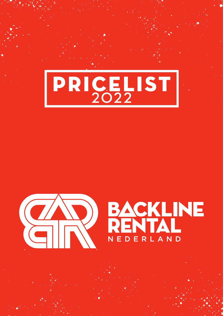



## EACKLINE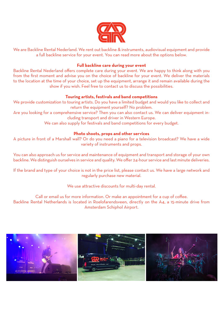

We are Backline Rental Nederland. We rent out backline & instruments, audiovisual equipment and provide a full backline service for your event. You can read more about the options below.

## **Full backline care during your event**

Backline Rental Nederland offers complete care during your event. We are happy to think along with you from the first moment and advise you on the choice of backline for your event. We deliver the materials to the location at the time of your choice, set up the equipment, arrange it and remain available during the show if you wish. Feel free to contact us to discuss the possibilities.

## **Touring artists, festivals and band competitions**

We provide customization to touring artists. Do you have a limited budget and would you like to collect and return the equipment yourself? No problem.

Are you looking for a comprehensive service? Then you can also contact us. We can deliver equipment including transport and driver in Western Europe.

We can also supply for festivals and band competitions for every budget.

## **Photo shoots, props and other services**

A picture in front of a Marshall wall? Or do you need a piano for a television broadcast? We have a wide variety of instruments and props.

You can also approach us for service and maintenance of equipment and transport and storage of your own backline. We distinguish ourselves in service and quality. We offer 24-hour service and last minute deliveries.

If the brand and type of your choice is not in the price list, please contact us. We have a large network and regularly purchase new material.

We use attractive discounts for multi-day rental.

Call or email us for more information. Or make an appointment for a cup of coffee. Backline Rental Netherlands is located in Roelofarendsveen, directly on the A4, a 15-minute drive from Amsterdam Schiphol Airport.

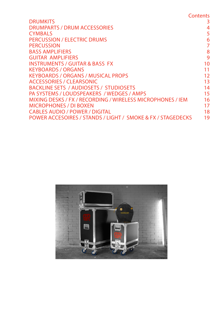|                                                             | Contents |
|-------------------------------------------------------------|----------|
| <b>DRUMKITS</b>                                             | 3        |
| <b>DRUMPARTS / DRUM ACCESSORIES</b>                         | 4        |
| <b>CYMBALS</b>                                              | 5        |
| PERCUSSION / ELECTRIC DRUMS                                 | 6        |
| <b>PERCUSSION</b>                                           | 7        |
| <b>BASS AMPLIFIERS</b>                                      | 8        |
| <b>GUITAR AMPLIFIERS</b>                                    | 9        |
| <b>INSTRUMENTS / GUITAR &amp; BASS FX</b>                   | 10       |
| <b>KEYBOARDS / ORGANS</b>                                   | 11       |
| <b>KEYBOARDS / ORGANS / MUSICAL PROPS</b>                   | 12       |
| <b>ACCESSORIES / CLEARSONIC</b>                             | 13       |
| BACKLINE SETS / AUDIOSETS / STUDIOSETS                      | 14       |
| PA SYSTEMS / LOUDSPEAKERS / WEDGES / AMPS                   | 15       |
| MIXING DESKS / FX / RECORDING / WIRELESS MICROPHONES / IEM  | 16       |
| <b>MICROPHONES / DI BOXEN</b>                               | 17       |
| <b>CABLES AUDIO / POWER / DIGITAL</b>                       | 18       |
| POWER ACCESOIRES / STANDS / LIGHT / SMOKE & FX / STAGEDECKS | 19       |

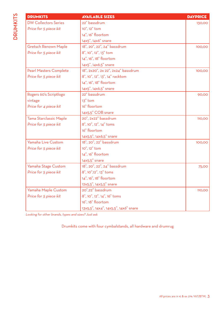| <b>DRUMKITS</b>               | <b>AVAILABLE SIZES</b>               | <b>DAYPRICE</b> |
|-------------------------------|--------------------------------------|-----------------|
| <b>DW Collectors Series</b>   | 22" bassdrum                         | 130,00          |
| Price for 5 piece kit         | 10", 12" tom                         |                 |
|                               | 14", 16" floortom                    |                 |
|                               | 14x5", 14x6" snare                   |                 |
| <b>Gretsch Renown Maple</b>   | 18", 20", 22", 24" bassdrum          | 100,00          |
| Price for 5 piece kit         | 8", 10", 12", 13" tom                |                 |
|                               | 14", 16", 18" floortom               |                 |
|                               | 14x5", 14x6,5" snare                 |                 |
| <b>Pearl Masters Complete</b> | 18", 2x20", 2x 22", 2x24" bassdrum   | 100,00          |
| Price for 5 piece kit         | 8", 10", 12", 13", 14" racktom       |                 |
|                               | 14", 16", 18" floortom               |                 |
|                               | 14x5", 14x6,5" snare                 |                 |
| Rogers 60's Scriptlogo        | 22" bassdrum                         | 90,00           |
| vintage                       | $13"$ tom                            |                 |
| Price for 4 piece kit         | 16" floortom                         |                 |
|                               | 14x5,5" COB snare                    |                 |
| Tama Starclassic Maple        | 20", 2x22" bassdrum                  | 110,00          |
| Price for 5 piece kit         | 8", 10", 12", 14" toms               |                 |
|                               | 16" floortom                         |                 |
|                               | 14x5,5", 14x6,5" snare               |                 |
| Yamaha Live Custom            | 18", 20", 22" bassdrum               | 100,00          |
| Price for 5 piece kit         | 10", 12" tom                         |                 |
|                               | 14", 16" floortom                    |                 |
|                               | $14x5,5"$ snare                      |                 |
| Yamaha Stage Custom           | 18", 20", 22", 24" bassdrum          | 75,00           |
| Price for 5 piece kit         | 8", 10",12", 13" toms                |                 |
|                               | 14", 16", 18" floortom               |                 |
|                               | 12x5,5", 14x5,5" snare               |                 |
| Yamaha Maple Custom           | 20",22" bassdrum                     | 110,00          |
| Price for 5 piece kit         | 8", 10", 12", 14", 16" toms          |                 |
|                               | 16", 18" floortom                    |                 |
|                               | 13x5,5", 14x4", 14x5,5", 14x6" snare |                 |

Looking for other brands, types and sizes? Just ask

Drumkits come with four cymbalstands, all hardware and drumrug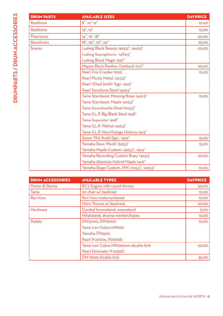| <b>DRUM PARTS</b> | <b>AVAILABLE SIZES</b>                    | <b>DAYPRICE</b> |
|-------------------|-------------------------------------------|-----------------|
| Racktoms          | 8", 10" 12"                               | 10,00           |
| Racktoms          | 13", 14"                                  | 15,00           |
| Floortoms         | 14", 16", 18"                             | 20,00           |
| <b>Bassdrums</b>  | 18", 20", 22", 24"                        | 25,00           |
| <b>Snares</b>     | Ludwig Black Beauty 14x5,5", 14x6,5"      | 20,00           |
|                   | Ludwig Supraphonic 14X6,5"                |                 |
|                   | Ludwig Black Magic 13x7"                  |                 |
|                   | Mapex Black Panther Fastback 12x7"        | 20,00           |
|                   | Pearl Fire Cracker 10x5'                  | 15,00           |
|                   | Pearl Picolo Metal, 13x3,5"               |                 |
|                   | Pearl 'Chad Smith' Sign. 14x5"            |                 |
|                   | Pearl Sensitone Steel 14x6,5"             |                 |
|                   | Tama Starclassic Messing Brass 14x6,5"    | 15,00           |
|                   | Tama Starclassic Maple 14x5,5"            |                 |
|                   | Tama Soundworks Steel 10x5,5"             |                 |
|                   | Tama S.L.P. Big Black Steel 15x8"         |                 |
|                   | Tama Superstar 14x8"                      |                 |
|                   | Tama S.L.P. Walnut 14x6,5"                |                 |
|                   | Tama S.L.P. New-Vintage Hickory 14x5"     |                 |
|                   | Sonor 'Phil Rudd Sign', 14x5"             | 15,00           |
|                   | Yamaha Dave Weckl 13x5,5"                 | 15,00           |
|                   | Yamaha Maple Custom, 14x5,5", 14x4"       |                 |
|                   | Yamaha Recording Custom Brass 14x5,5'     | 20,00           |
|                   | Yamaha Absolute Hybrid Maple 14x6"        |                 |
|                   | Yamaha Stage Custom, NW, 12x5,5", 14x5,5" | 10,00           |

| <b>DRUM ACCESSORIES</b> | <b>AVAILABLE TYPES</b>                   | <b>DAYPRICE</b> |
|-------------------------|------------------------------------------|-----------------|
| Porter & Davies         | BC <sub>2</sub> Engine with round throne | 50,00           |
| Tama                    | 1st chair w/ backrest                    | <b>15,00</b>    |
| Roc'n'soc               | Roc'n'soc motorcycleseat                 | 10,00           |
|                         | Nitro Throne w/ backrest                 | 20,00           |
| Hardware                | Cymbal boomstand, snarestand             | 5,00            |
|                         | Hihatstand, diverse merken/types         | 15,00           |
| Pedals                  | DW5000, DW9000                           | 10,00           |
|                         | Tama Iron Cobra HP900                    |                 |
|                         | Yamaha FP9500                            |                 |
|                         | Pearl P-2000c, P2000b                    |                 |
|                         | Tama Iron Cobra HP900swn double kick     | 20,00           |
|                         | Pearl Eliminator P-2052C                 |                 |
|                         | DW 9002 double kick                      | 35,00           |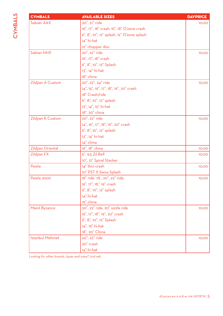| <b>CYMBALS</b>         | <b>AVAILABLE SIZES</b>                     | <b>DAYPRICE</b> |
|------------------------|--------------------------------------------|-----------------|
| Sabian AAX             | 20", 21" ride                              | 10,00           |
|                        | 16", 17", 18" crash, 16", 18" O'zone crash |                 |
|                        | 6", 8", 10", 12" splash, 12" O'zone splash |                 |
|                        | 14" hi-hat                                 |                 |
|                        | 12" chopper disc                           |                 |
| Sabian HHX             | 20", 22" ride                              | 10,00           |
|                        | 16", 17", 18" crash                        |                 |
|                        | 6", 8", 10", 12" Splash                    |                 |
|                        | 13", 14" hi-hat                            |                 |
|                        | 18" china                                  |                 |
| Zildjian A Custom      | 20", 22", 24" ride                         | 10,00           |
|                        | 14", 15", 16", 17", 18", 19", 20" crash    |                 |
|                        | 18" Crash/ride                             |                 |
|                        | 6", 8", 10", 12" splash                    |                 |
|                        | 13", 14", 15" hi-hat                       |                 |
|                        | 18". 20" china                             |                 |
| Zildjian K Custom      | 20", 22" ride                              | 10,00           |
|                        | 14", 16", 17", 18", 19", 20" crash         |                 |
|                        | 6", 8", 10", 12" splash                    |                 |
|                        | 13", 14" hi-hat                            |                 |
|                        | 14" china                                  |                 |
| Zildjian Oriental      | 16", 18" china                             | 10,00           |
| Zildjian FX            | 6", 9,5 Zil Bell                           | 10,00           |
|                        | 10", 12" Spiral Stacker                    |                 |
| Paiste                 | 14" thin crash                             | 10,00           |
|                        | 10" PST X Swiss Splash                     |                 |
| Paiste 2002            | 18" ride '78, 20", 22" ride                | 10,00           |
|                        | 16", 17", 18," 19" crash                   |                 |
|                        | 6", 8", 10", 12" splash                    |                 |
|                        | 14" hi-hat                                 |                 |
|                        | 19" china                                  |                 |
| Meinl Byzance          | 20", 22" ride, 20" sizzle ride             | 10,00           |
|                        | 16", 17", 18", 19", 20" crash              |                 |
|                        | 6", 8", 10", 12" Splash                    |                 |
|                        | 14", 16" hi-hat                            |                 |
|                        | 18", 20" China                             |                 |
| <b>Istanbul Mehmet</b> | 20", 22" ride                              | 10,00           |
|                        | 20" crash                                  |                 |
|                        | 14" hi-hat                                 |                 |

Looking for other brands, types and sizes? Just ask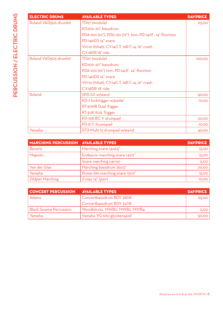| <b>ELECTRIC DRUMS</b> | <b>AVAILABLE TYPES</b>                                 | <b>DAYPRICE</b> |
|-----------------------|--------------------------------------------------------|-----------------|
| Roland VAD506 drumkit | TD <sub>27</sub> (module)                              | 115,00          |
|                       | KD200 20" bassdrum                                     |                 |
|                       | PDA-100 (10"), PDA-120 (12") tom, PD-140F 14" floortom |                 |
|                       | PD-140DS 14" snare                                     |                 |
|                       | VH-10 (hihat), CY-14C-T, 16R-T, 14, 16" crash          |                 |
|                       | CY-18DR 18' ride                                       |                 |
| Roland VAD503 drumkit | TD <sub>27</sub> (module)                              | 100,00          |
|                       | KD200 20" bassdrum                                     |                 |
|                       | PDA-100 (10") tom, PD-140F 14" floortom                |                 |
|                       | PD-140DS 14" snare                                     |                 |
|                       | VH-10 (hihat), CY-14C-T, 16R-T, 14, 16" crash          |                 |
|                       | CY-18DR 18' ride                                       |                 |
| Roland                | SPD-SX w/stand                                         | 40,00           |
|                       | KD-7 kicktrigger w/pedal                               | 10,00           |
|                       | RT-30HR Dual Trigger                                   |                 |
|                       | RT-30K Kick Trigger                                    |                 |
|                       | PD-108 BC V drumpad                                    | 20,00           |
|                       | PD-8 V drumspad                                        | 10,00           |
| Yamaha                | DTX-Multi 12 drumpad w/stand                           | 40,00           |

| <b>MARCHING PERCUSSION AVAILABLE TYPES</b> |                                  | <b>DAYPRICE</b> |
|--------------------------------------------|----------------------------------|-----------------|
| <b>Beverly</b>                             | Marching snare 14x9,5"           | 15,00           |
| Majestic                                   | Endeavor marching snare 14x12"   | 15,00           |
|                                            | Snare marching carrier           | 5,00            |
| Van der Glas                               | Marching bassdrum 26x12"         | 20,00           |
| Yamaha                                     | Power-lite marching snare 13x11" | <b>15,00</b>    |
| <b>Zildjian Marching</b>                   | $Z$ -mac $14''$ (pair)           | 10,00           |

| <b>CONCERT PERCUSSION</b>     | <b>AVAILABLE TYPES</b>       | <b>DAYPRICE</b> |
|-------------------------------|------------------------------|-----------------|
| Adams                         | Concertbassdrum BDV 28/18    | 65,00           |
|                               | Concertbassdrum BDV 32/18    |                 |
| <b>Black Swamp Percussion</b> | Woodblocks, MWB0, MWB2, MWB4 | 5,00            |
| Yamaha                        | Yamaha YG-1210 glockenspiel  | 50,00           |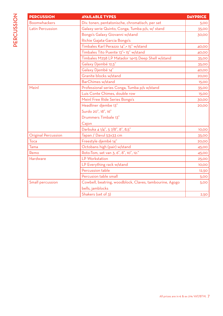| <b>PERCUSSION</b>   | <b>AVAILABLE TYPES</b>                                  | <b>DAYPRICE</b> |
|---------------------|---------------------------------------------------------|-----------------|
| <b>Boomwhackers</b> | Div. tonen, pentatonische, chromatisch, per set         | 5,00            |
| Latin Percussion    | Galaxy serie Quinto, Conga, Tumba p/s, w/ stand         | 35,00           |
|                     | Bongo's Galaxy Giovanni w/stand                         | 30,00           |
|                     | Richie Gajata-Garcia Bongo's                            |                 |
|                     | Timbales Karl Perazzo 14",+ 15" w/stand                 | 40,00           |
|                     | Timbales Tito Puente 13"+ 15" w/stand                   | 40,00           |
|                     | Timbales M258 LP Matador 14+15 Deep Shell w/stand       | 35,00           |
|                     | Galaxy Djembé 12,5"                                     | 35,00           |
|                     | Galaxy Djembé 14"                                       | 40,00           |
|                     | Granite blocks w/stand                                  | 20,00           |
|                     | <b>BarChimes w/stand</b>                                | 15,00           |
| Meinl               | Professional series Conga, Tumba p/s w/stand            | 35,00           |
|                     | Luis Conte Chimes, double row                           | 15,00           |
|                     | Meinl Free Ride Series Bongo's                          | 30,00           |
|                     | Headliner djembe 13"                                    | 20,00           |
|                     | Surdo 20", 18", 16"                                     |                 |
|                     | Drummers Timbale 13"                                    |                 |
|                     | Cajon                                                   |                 |
|                     | Darbuka 4 1/4", 5 7/8", 8", 8,5"                        | 10,00           |
| Original Percussion | Tapan / Davul 53x33 cm                                  | 35,00           |
| Toca                | Freestyle djembé 14"                                    | 20,00           |
| Tama                | Octobans high (pair) w/stand                            | 45,00           |
| Remo                | Roto-Tom, set van 3, 6", 8", 10", 12:"                  | 45,00           |
| Hardware            | LP Workstation                                          | 25,00           |
|                     | LP Everything rack w/stand                              | 10,00           |
|                     | Percussion table                                        | 12,50           |
|                     | Percusion table small                                   | 5,00            |
| Small percussion    | Cowbell, beatring, woodblock, Claves, tambourine, Agogo | 5,00            |
|                     | bells, jamblocks                                        |                 |
|                     | Shakers (set of 3)                                      | 2,50            |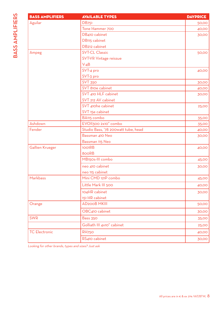| <b>BASS AMPLIFIERS</b> | <b>AVAILABLE TYPES</b>              | <b>DAYPRICE</b> |
|------------------------|-------------------------------------|-----------------|
| Aguilar                | <b>DB751</b>                        | 50,00           |
|                        | Tone Hammer 700                     | 40,00           |
|                        | DB410 cabinet                       | 30,00           |
|                        | DB115 cabinet                       |                 |
|                        | DB212 cabinet                       |                 |
| Ampeg                  | <b>SVT-CL Classic</b>               | 50,00           |
|                        | SVT-VR Vintage reissue              |                 |
|                        | $V-4B$                              |                 |
|                        | SVT-4 pro                           | 40,00           |
|                        | SVT-3 pro                           |                 |
|                        | <b>SVT 350</b>                      | 30,00           |
|                        | SVT 810e cabinet                    | 40,00           |
|                        | SVT 410 HLF cabinet                 | 30,00           |
|                        | SVT 212 AV cabinet                  |                 |
|                        | SVT 410he cabinet                   | 25,00           |
|                        | SVT 15e cabinet                     |                 |
|                        | BA115 combo                         | 35,00           |
| Ashdown                | EVOII300 2x10" combo                | 35,00           |
| Fender                 | Studio Bass, '78 200watt tube, head | 40,00           |
|                        | Bassman 410 Neo                     | 30,00           |
|                        | Bassman 115 Neo                     |                 |
| <b>Gallien Krueger</b> | <b>1001RB</b>                       | 40,00           |
|                        | 800RB                               |                 |
|                        | MB <sub>150s</sub> -III combo       | 45,00           |
|                        | neo 410 cabinet                     | 30,00           |
|                        | neo 115 cabinet                     |                 |
| Markbass               | Mini CMD 121P combo                 | 45,00           |
|                        | Little Mark III 500                 | 40,00           |
|                        | 104HR cabinet                       | 30,00           |
|                        | 151 HR cabinet                      |                 |
| Orange                 | <b>AD200B MKIII</b>                 | 50,00           |
|                        | OBC410 cabinet                      | 30,00           |
| <b>SWR</b>             | <b>Bass 350</b>                     | 35,00           |
|                        | Golliath III 4x10" cabinet          | 25,00           |
| <b>TC Electronic</b>   | <b>RH750</b>                        | 40,00           |
|                        | RS410 cabinet                       | 30,00           |

Looking for other brands, types and sizes? Just ask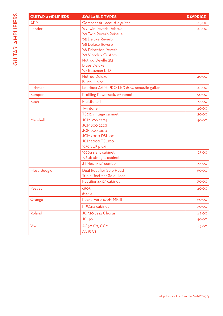| U,<br>$\overline{\mathbf{r}}$ | <b>GUIT</b> |
|-------------------------------|-------------|
| ū                             | <b>AER</b>  |
| ц                             | Fend        |
|                               |             |
|                               |             |
| Ξ                             |             |
|                               |             |
|                               |             |
| ŕ                             |             |
|                               |             |

| <b>GUITAR AMPLIFIERS</b> | <b>AVAILABLE TYPES</b>                      | <b>DAYPRICE</b> |
|--------------------------|---------------------------------------------|-----------------|
| <b>AER</b>               | Compact 60, acoustic guitar                 | 45,00           |
| Fender                   | '65 Twin Reverb Reissue                     | 45,00           |
|                          | '68 Twin Reverb Reissue                     |                 |
|                          | '65 Deluxe Reverb                           |                 |
|                          | '68 Deluxe Reverb                           |                 |
|                          | '68 Princeton Reverb                        |                 |
|                          | '68 Vibrolux Custom                         |                 |
|                          | Hotrod Deville 212                          |                 |
|                          | <b>Blues Deluxe</b>                         |                 |
|                          | '59 Bassman LTD                             |                 |
|                          | <b>Hotrod Deluxe</b>                        | 40,00           |
|                          | <b>Blues Junior</b>                         |                 |
| Fishman                  | Loudbox Artist PRO-LBX-600, acoustic guitar | 45,00           |
| Kemper                   | Profiling Powerrack, w/ remote              | 90,00           |
| Koch                     | Multitone I                                 | 35,00           |
|                          | Twintone I                                  | 40,00           |
|                          | TS212 vintage cabinet                       | 20,00           |
| Marshall                 | <b>JCM800 2204</b>                          | 40,00           |
|                          | <b>JCM800 2203</b>                          |                 |
|                          | <b>JCM900 4100</b>                          |                 |
|                          | JCM2000 DSL100                              |                 |
|                          | JCM2000 TSL100                              |                 |
|                          | 1959 SLP plexi                              |                 |
|                          | 1960a slant cabinet                         | 25,00           |
|                          | 1960b straight cabinet                      |                 |
|                          | JTM60 1x12" combo                           | 35,00           |
| Mesa Boogie              | Dual Rectifier Solo Head                    | 50,00           |
|                          | Triple Rectifier Solo Head                  |                 |
|                          | Rectifier 4x12" cabinet                     | 30,00           |
| Peavey                   | 6505                                        | 40,00           |
|                          | 6505+                                       |                 |
| Orange                   | Rockerverb 100H MKIII                       | 50,00           |
|                          | PPC412 cabinet                              | 30,00           |
| Roland                   | JC 120 Jazz Chorus                          | 45,00           |
|                          | $JC$ 40                                     | 40,00           |
| Vox                      | AC30 C2, CC2                                | 45,00           |
|                          | <b>AC<sub>15</sub> C<sub>1</sub></b>        |                 |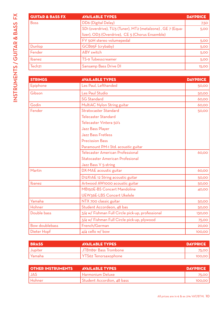| <b>GUITAR &amp; BASS FX</b> | <b>AVAILABLE TYPES</b>                                     | <b>DAYPRICE</b> |
|-----------------------------|------------------------------------------------------------|-----------------|
| <b>Boss</b>                 | DD6 (Digital Delay)                                        | 7,50            |
|                             | SD1 (overdrive), TU3 (Tuner), MT2 (metalzone), GE 7 (Equa- | 5,00            |
|                             | lizer), OD3 (Overdrive), CE 5 (Chorus Ensemble)            |                 |
|                             | FV 50H stereo volumepedal                                  | 5,00            |
| Dunlop                      | GCB95F (crybaby)                                           | 5,00            |
| Fender                      | ABY switch                                                 | 5,00            |
| Ibanez                      | TS-9 Tubesscreamer                                         | 5,00            |
| Tech <sub>21</sub>          | Sansamp Bass Drive DI                                      | 15,00           |

| <b>STRINGS</b>        | <b>AVAILABLE TYPES</b>                           | <b>DAYPRICE</b> |
|-----------------------|--------------------------------------------------|-----------------|
| Epiphone              | Les Paul, Lefthanded                             | 50,00           |
| Gibson                | Les Paul Studio                                  | 50,00           |
|                       | <b>SG Standard</b>                               | 60,00           |
| Godin                 | MultiAC Nylon String guitar                      | 60,00           |
| Fender                | Stratocaster Standard                            | 50,00           |
|                       | <b>Telecaster Standard</b>                       |                 |
|                       | Telecaster Vintera 50's                          |                 |
|                       | Jazz Bass Player                                 |                 |
|                       | <b>Jazz Bass Fretless</b>                        |                 |
|                       | <b>Precission Bass</b>                           |                 |
|                       | Paramount PM-1 Std. acoustic guitar              |                 |
|                       | Telecaster American Professional                 | 60,00           |
|                       | <b>Statocaster American Profesional</b>          |                 |
|                       | Jazz Bass V 5-string                             |                 |
| Martin                | DX-MAE acoustic guitar                           | 60,00           |
|                       | D12X1AE 12 String acoustic guitar                | 50,00           |
| Ibanez                | Artwood AW1000 acoustic guitar                   | 50,00           |
|                       | MB <sub>15</sub> OE-BS Concert Mandoline         | 40,00           |
|                       | UEW36E-LBS Concert Ukelele                       |                 |
| Yamaha                | NTX 700 classic guitar                           | 50,00           |
| Hohner                | Student Accordeon, 48 bas                        | 50,00           |
| Double bass           | 3/4 w/ Fishman Full Circle pick-up, professional | 130,00          |
|                       | 3/4 w/ Fishman Full Circle pick-up, plywood      | 75,00           |
| <b>Bow doublebass</b> | French/German                                    | 20,00           |
| Dieter Hopf           | 4/4 cello w/ bow                                 | 100,00          |

| <b>BRASS</b> | <b>AVAILABLE TYPES</b>              | <b>DAYPRICE</b> |
|--------------|-------------------------------------|-----------------|
| Jupiter      | <sub>1</sub> JTB1189r Bass Trombone | 75.OO I         |
| Yamaha       | 1 YTS62 Tenorsaxophone              | 100.001         |

| <b>OTHER INSTRUMENTS</b> | <b>AVAILABLE TYPES</b>     | <b>DAYPRICE</b> |
|--------------------------|----------------------------|-----------------|
| JAS                      | l Harmonium Deluxe         | 75.OO I         |
| Hohner                   | Student Accordion, 48 bass | 100.00          |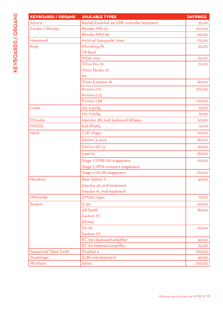| <b>KEYBOARDS / ORGANS</b> | <b>AVAILABLE TYPES</b>                      | <b>DAYPRICE</b> |
|---------------------------|---------------------------------------------|-----------------|
| Arturia                   | Keylab Essential 49 USB controller keyboard | 35,00           |
| Fender / Rhodes           | Rhodes MKI 73                               | 100,00          |
|                           | <b>Rhodes MKII 88</b>                       | 120,00          |
| Hammond                   | A100 w/ basspedal, chair                    | 175,00          |
| Korg                      | Microkorg XL                                | 35,00           |
|                           | <b>TR Rack</b>                              |                 |
|                           | MS <sub>20</sub> mini                       | 65,00           |
|                           | Triton Pro 76                               | 70,00           |
|                           | Triton Studio 76                            |                 |
|                           | M <sub>1</sub>                              |                 |
|                           | Triton Extreme 76                           | 80,00           |
|                           | Kronos 2 61                                 | 100,00          |
|                           | Kronos 273                                  |                 |
|                           | Kronos 288                                  | 120,00          |
| Leslie                    | 251, 6-polig                                | 75,00           |
|                           | 122, 6-polig                                | 75,00           |
| M-Audio                   | Hammer 88, midi keyboard 88 keys            | 50,00           |
| <b>MOOG</b>               | Sub Phatty                                  | 75,00           |
| Nord                      | C <sub>2</sub> D Organ                      | 110,00          |
|                           | Electro 4 sw73                              | 80,00           |
|                           | Electro 6D 73                               | 90,00           |
|                           | Lead 2x                                     | 80,00           |
|                           | Stage 2 EX88 HA stagepiano                  | 110,00          |
|                           | Stage 3 HP76 compact stagepiano             |                 |
|                           | Stage 3 HA 88 stagepiano                    | 120,00          |
| Novation                  | <b>Bass Station II</b>                      | 40,00           |
|                           | Impulse 49, midi keyboard                   |                 |
|                           | Impulse 61, midi keyboard                   |                 |
| Philicorda                | GM752 organ                                 | 75,00           |
| Roland                    | D <sub>50</sub>                             | 60,00           |
|                           | AX-Synth                                    | 80,00           |
|                           | Fantom X7                                   |                 |
|                           | RD <sub>700</sub>                           |                 |
|                           | $FA-08$                                     | 90,00           |
|                           | Fantom G7                                   |                 |
|                           | KC 550 keyboard amplifier                   | 40,00           |
|                           | KC 60 keyboard amplifier                    | 35,00           |
| Sequential 'Dave Smith    | Prophet 6                                   | 100,00          |
| Studiologic               | SL88 midi keyboard                          | 40,00           |
|                           |                                             |                 |

Wurlitzer 200a 200a 100,000 km die 19de eeu n.C. 100,000 km die 100,000 km die 100,000 km die 100,000 km die 1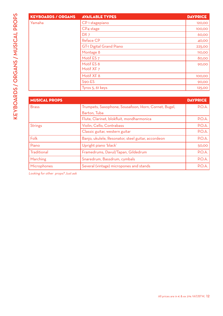| <b>KEYBOARDS / ORGANS</b> | <b>AVAILABLE TYPES</b>          | <b>DAYPRICE</b> |
|---------------------------|---------------------------------|-----------------|
| Yamaha                    | CP <sub>1</sub> stagepiano      | 120,00          |
|                           | CP4 stage                       | 100,00          |
|                           | DX <sub>7</sub>                 | 60,00           |
|                           | <b>Reface CP</b>                | 40,00           |
|                           | <b>GT-1 Digital Grand Piano</b> | 225,00          |
|                           | Montage 8                       | 110,00          |
|                           | Motif ES <sub>7</sub>           | 80,00           |
|                           | Motif ES 8<br>Motif XF 7        | 90,00           |
|                           | Motif XF 8                      | 100,00          |
|                           | S90-ES                          | 90,00           |
|                           | Tyros 5, 61 keys                | 125,00          |

| <b>MUSICAL PROPS</b> |                                                      | <b>DAYPRICE</b> |
|----------------------|------------------------------------------------------|-----------------|
| <b>Brass</b>         | Trumpets, Saxophone, Sousafoon, Horn, Cornet, Bugel, | P.O.A.          |
|                      | Barton, Tuba                                         |                 |
|                      | Flute, Clarinet, blokfluit, mondharmonica            | P.O.A.          |
| <b>Strings</b>       | Violin, Cello, Contrabass                            | P.O.A.          |
|                      | Classic guitar, western guitar                       | P.O.A.          |
| Folk                 | Banjo, ukulele, Resonator, steel guitar, accordeon   | P.O.A.          |
| Piano                | Upright piano 'black'                                | 50,00           |
| Traditional          | Framedrums, Davul/Tapan, Gildedrum                   | P.O.A.          |
| Marching             | Snaredrum, Bassdrum, cymbals                         | P.O.A.          |
| Microphones          | Several (vintage) micropones and stands              | P.O.A.          |

Looking for other props? Just ask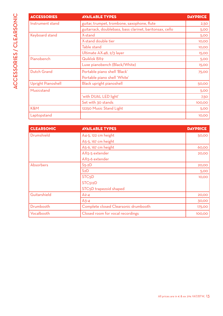| <b>ACCESSORIES</b> | <b>AVAILABLE TYPES</b>                                   | <b>DAYPRICE</b> |
|--------------------|----------------------------------------------------------|-----------------|
| Instrument stand   | guitar, trumpet, trombone, saxophone, flute              | 2,50            |
|                    | guitarrack, doublebass, bass clarinet, baritonsax, cello | 5,00            |
| Keyboard stand     | X-stand                                                  | 5,00            |
|                    | X-stand double tier                                      | 10,00           |
|                    | Table stand                                              | 10,00           |
|                    | Ultimate AX-48, 2/3 layer                                | 15,00           |
| Pianobench         | Quiklok BX9                                              | 5,00            |
|                    | Luxe pianobench (Black/White)                            | 15,00           |
| <b>Dutch Grand</b> | Portable piano shell 'Black'                             | <b>75,00</b>    |
|                    | Portable piano shell 'White'                             |                 |
| Upright Pianoshell | Black upright pianoshell                                 | 50,00           |
| Musicstand         |                                                          | 5,00            |
|                    | 'with DUAL LED light'                                    | 7,50            |
|                    | Set with 30 stands                                       | 100,00          |
| K&M                | 12250 Music Stand Light                                  | 5,00            |
| Laptopstand        |                                                          | 10,00           |

| <b>CLEARSONIC</b> | <b>AVAILABLE TYPES</b>               | <b>DAYPRICE</b> |
|-------------------|--------------------------------------|-----------------|
| Drumshield        | A4-5, 122 cm height                  | 50,00           |
|                   | A5-5, 167 cm height                  |                 |
|                   | A5-6, 167 cm height                  | 60,00           |
|                   | AX5-5 extender                       | 20,00           |
|                   | AX5-6 extender                       |                 |
| Absorbers         | $S5-2D$                              | 20,00           |
|                   | S2D                                  | 5,00            |
|                   | STC <sub>5</sub> D                   | 10,00           |
|                   | STC <sub>512</sub> D                 |                 |
|                   | STC <sub>5</sub> D trapezoid shaped  |                 |
| Guitarshield      | $A2-4$                               | 20,00           |
|                   | $A3-4$                               | 30,00           |
| Drumbooth         | Complete closed Clearsonic drumbooth | 175,00          |
| Vocalbooth        | Closed room for vocal recordings     | 100,00          |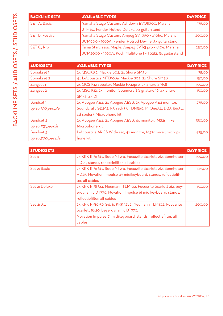|                   | <b>BACKLINE SET</b>    |
|-------------------|------------------------|
| <b>STUDIOSETS</b> | <b>SET A, Basic</b>    |
|                   | <b>SET B, Festival</b> |
|                   | SET C, Pro             |
|                   |                        |
| <b>AUDIOSETS</b>  | <b>AUDIOSETS</b>       |
|                   | Spraakset 1            |
|                   | Spraakset 2            |
|                   | Zangset <sub>1</sub>   |
| <b>SEIS</b>       | Zangset 2              |
|                   | <b>Bandset 1</b>       |
| <b>BACKLINE</b>   | up to 100 peopl        |
|                   | <b>Bandset 2</b>       |
|                   | un to 175 neonle       |

| <b>BACKLINE SETS</b> | <b>AVAILABLE TYPES</b>                                    | <b>DAYPRICE</b> |
|----------------------|-----------------------------------------------------------|-----------------|
| SET A, Basic         | Yamaha Stage Custom, Ashdown EVOII300, Marshall           | 175,00          |
|                      | JTM60, Fender Hotrod Deluxe, 3x guitarstand               |                 |
| SET B, Festival      | Yamaha Stage Custom, Ampeg SVT350 + 410he, Marshall       | 200,00          |
|                      | JCM900 + 1960A, Fender Hotrod Deville, 3x guitarstand     |                 |
| SET C, Pro           | Tama Starclassic Maple, Ampeg SVT-3 pro + 810e, Marshall  | 250,00          |
|                      | JCM2000 + 1960A, Koch Multitone I + TS212, 3x guitarstand |                 |

| <b>AUDIOSETS</b> | <b>AVAILABLE TYPES</b>                                     | <b>DAYPRICE</b> |
|------------------|------------------------------------------------------------|-----------------|
| Spraakset 1      | 2x QSCK8.2, Mackie 802, 2x Shure SM58                      | 75,00           |
| Spraakset 2      | 4x L-Acoustics MTD108a, Mackie 802, 2x Shure SM58          | 150,00          |
| Zangset 1        | 2x QCS K12 speaker, Mackie FX12pro, 2x Shure SM58          | 100,00          |
| Zangset 2        | 2x QSC K12, 2x monitor, Soundcraft Signature 16, 4x Shure  | 150,00          |
|                  | SM <sub>5</sub> 8, 4x DI                                   |                 |
| Bandset 1        | 2x Apogee AE4, 2x Apogee AESB, 2x Apogee AE4 monitor,      | 275,00          |
| up to 100 people | Soundcraft GB2-12, FX rack (KT DN360, M OneXL, DBX 166XL,  |                 |
|                  | cd speler), Microphone kit                                 |                 |
| <b>Bandset 2</b> | 2x Apogee AE4, 2x Apogee AESB, 4x monitor, M32r mixer,     | 350,00          |
| up to 175 people | Microphone kit                                             |                 |
| Bandset 3        | L-Acoustics ARCS Wide set, 4x monitor, M32r mixer, microp- | 425,00          |
| up to 300 people | hone kit                                                   |                 |

| <b>STUDIOSETS</b> |                                                                | <b>DAYPRICE</b> |
|-------------------|----------------------------------------------------------------|-----------------|
| Set 1:            | 2x KRK RP6 G3, Rode NT2-a, Focusrite Scarlett 2i2, Sennheiser  | 100,00          |
|                   | HD <sub>25</sub> , stands, reflectiefilter, all cables         |                 |
| Set 2: Basic      | 2x KRK RP6 G3, Rode NT2-a, Focusrite Scarlett 2i2, Sennheiser  | 125,00          |
|                   | HD25, Novation Impulse 49 midikeyboard, stands, reflectiefil-  |                 |
|                   | ter, all cables                                                |                 |
| Set 2: Deluxe     | 2x KRK RP8 G4, Neumann TLM102, Focusrite Scarlett 2i2, bey-    | 150,00          |
|                   | erdynamic DT770, Novation Impulse 61 midikeyboard, stands,     |                 |
|                   | reflectiefilter, all cables                                    |                 |
| Set 4: XL         | 2x KRK RP10-36 G4, 1x KRK 12S2, Neumann TLM102, Focusrite      | 200,00          |
|                   | Scarlett 18i20, beyerdynamic DT770,                            |                 |
|                   | Novation Impulse 61 midikeyboard, stands, reflectiefilter, all |                 |
|                   | cables                                                         |                 |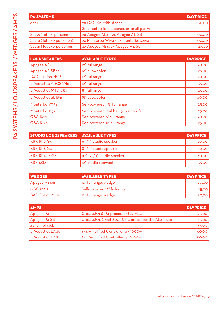| <b>PA SYSTEMS</b>         |                                          | <b>DAYPRICE</b> |
|---------------------------|------------------------------------------|-----------------|
| Set 1:                    | 2x QSC K12 with stands                   | 50,00           |
|                           | Small setup for speeches or small partys |                 |
| Set 2: (Tot 175 personen) | 2x Apogee AE4 + 2x Apogee AE-SB          | 100,00          |
| Set 3: (Tot 250 personen) | 2x Montarbo W15a + 2x Montarbo s215a     | 100,00          |
| Set 4: (Tot 250 personen) | 4x Apogee AE4, 2x Apogee AE-SB           | 125,00          |

| <b>LOUDSPEAKERS</b>     | <b>AVAILABLE TYPES</b>             | <b>DAYPRICE</b> |
|-------------------------|------------------------------------|-----------------|
| Apogee AE4              | 12" fullrange                      | 20,00           |
| Apogee AE-SBcs          | 18" subwoofer                      | 25,00           |
| <b>DAD</b> Fustion12MP  | 12" fullrange                      | 20,00           |
| L-Acoustics ARCS Wide   | 12" fullrange                      | 35,00           |
| L-Acoustics MTD108a     | 8" fullrange                       | 25,00           |
| L-Acoustics SB18m       | 18" subwoofer                      | 40,00           |
| Montarbo W15a           | Self-powered, 15" fullrange        | 25,00           |
| Montarbo 215s           | Self-powered, dubbel 15" subwoofer | 25,00           |
| <b>QSC K8.2</b>         | Self-powered 8" fullrange          | 20,00           |
| $QSC$ K <sub>12.2</sub> | Self-powered 12" fullrange         | 25,00           |

| STUDIO LOUDSPEAKERS AVAILABLE TYPES |                             | <b>DAYPRICE</b> |
|-------------------------------------|-----------------------------|-----------------|
| KRK RP6 G3                          | 6" / 1" studio speaker      | 20,00           |
| KRK RP8 G4                          | 8" / 1" studio speaker      | 20,00           |
| $KRK$ RP10-3 $G4$                   | 10", 3" / 1" studio speaker | 30,00           |
| l KRK 12S2                          | 12" studio subwoofer        | 35,00           |

| <b>WEDGES</b>          | <b>AVAILABLE TYPES</b>     | <b>DAYPRICE</b> |
|------------------------|----------------------------|-----------------|
| $\Delta$ pogee $AE$ 4m | 12" fullrange, wedge       | 20,00           |
| QSC K12.2              | Self-powered 12" fullrange | 25,00           |
| DAD Fusion12MP         | 12" fullrange, wedge       | 20,00           |

| <b>AMPS</b>      |                                                     | <b>DAYPRICE</b> |
|------------------|-----------------------------------------------------|-----------------|
| Apogee P4        | Crest 4801 & P4 processor tbv AE4                   | 25,00           |
| Apogee P4-SB     | Crest 4801, Crest 8001 & P4 processor tbv AE4 + sub | 35,00           |
| 4channel rack    |                                                     | 35,00           |
| L-Acoustics LA4x | 4x4 Amplified Controller, 4x 1000w                  | 60,00           |
| L-Acoustics LA8  | 2x4 Amplified Controller, 4x 1800w                  | 80,00           |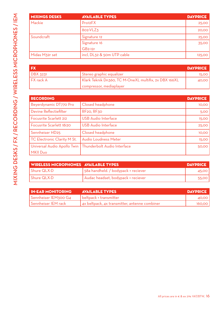| <b>MIXINGS DESKS</b> | <b>AVAILABLE TYPES</b>     | <b>DAYPRICE</b> |
|----------------------|----------------------------|-----------------|
| Mackie               | Pro12FX                    | 25,00           |
|                      | 802-VLZ3                   | 20,00           |
| Soundcraft           | Signature 12               | 25,00           |
|                      | Signature 16               | 35,00           |
|                      | $GB2-12r$                  |                 |
| Midas M32r set       | incl, DL32 & 50m UTP cable | 125,00          |

| I FX                  |                                                       | <b>DAYPRICE</b> |
|-----------------------|-------------------------------------------------------|-----------------|
| $\overline{DBX}$ 3231 | Stereo graphic equalizer                              | <b>15,00</b>    |
| $I$ FX rack $A$       | Klark Teknik Dn360, TC M-OneXL multifix, 2x DBX 166XL | 40,00           |
|                       | compressor, mediaplayer                               |                 |

| <b>RECORDING</b>              |                                                           | <b>DAYPRICE</b> |
|-------------------------------|-----------------------------------------------------------|-----------------|
| Beyerdynamic DT770 Pro        | Closed headphone                                          | 10,00           |
| Devine Reflectiefilter        | RF <sub>20</sub> , RF <sub>30</sub>                       | 5,00            |
| <b>Focusrite Scarlett 2i2</b> | <b>USB</b> Audio Interface                                | 15,00           |
| Focusrite Scarlett 18i20      | <b>USB</b> Audio Interface                                | 25,00           |
| Sennheiser HD25               | Closed headphone                                          | 10,00           |
| TC Electronic Clarity M St.   | <b>Audio Loudness Meter</b>                               | 15,00           |
|                               | Universal Audio Apollo Twin   Thunderbolt Audio Interface | 50,00           |
| MKII Duo                      |                                                           |                 |

| WIRELESS MICROPHONES AVAILABLE TYPES |                                     | <b>DAYPRICE</b> |
|--------------------------------------|-------------------------------------|-----------------|
| Shure QLX-D                          | 58a handheld. / bodypack + reciever | 45.00           |
| Shure QLX-D                          | Audac headset, bodypack + reciever  | 55.00           |

| <b>IN-EAR MONITORING</b> | <b>AVAILABLE TYPES</b>                        | DAYPRICE |
|--------------------------|-----------------------------------------------|----------|
| Sennheiser IEM300 G4     | beltpack + transmitter                        | 40,00 l  |
| Sennheiser IEM rack      | 4x beltpack, 4x transmitter, antenne combiner | 160,00   |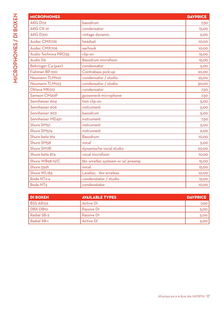| <b>MICROPHONES</b>      |                                   | <b>DAYPRICE</b> |
|-------------------------|-----------------------------------|-----------------|
| <b>AKG D112</b>         | bassdrum                          | 7,50            |
| AKG CK 91               | condensator                       | 15,00           |
| <b>AKG D310</b>         | vintage dynamic                   | 5,00            |
| Audac CMX726            | headset                           | 10,00           |
| Audac CMX706            | earhook                           | 10,00           |
| Audio Technica PRO35    | clip-on                           | <b>15,00</b>    |
| <b>Audix D6</b>         | Bassdrum microfoon                | <b>15,00</b>    |
| Behringer C4 (pair)     | condensator                       | 5,00            |
| Fishman BP-100          | Contrabass pick-up                | 20,00           |
| Neumann TLM102          | condensator / studio              | 25,00           |
| Neumann TLM103          | condensator / studio              | 30,00           |
| Oktava MK012            | condensator                       | 7,50            |
| Samson CM20P            | gooseneck microphone              | 7,50            |
| Sennheiser 604          | tom clip-on                       | 5,00            |
| Sennheiser 606          | instrument                        | 5,00            |
| Sennheiser 902          | bassdrum                          | 5,00            |
| Sennheiser MD421        | instrument                        | 7,50            |
| Shure SM57              | instrument                        | 5,00            |
| Shure SM <sub>57a</sub> | instrument                        | 6,00            |
| Shure beta 91a          | Bassdrum                          | 10,00           |
| Shure SM <sub>58</sub>  | vocal                             | 5,00            |
| Shure SM7B              | dynamische vocal studio           | 20,00           |
| Shure beta 87a          | vocal microfoon                   | 10,00           |
| Shure WB98 H/C          | tbv wirelles systeem or w/ preamp | 15,00           |
| Shure 55sh              | vocal                             | 15,00           |
| Shure WL183             | Lavalier, tbv wireless            | 10,00           |
| Rode NT <sub>2-a</sub>  | condenstator / studio             | 15,00           |
| Rode NT <sub>5</sub>    | condenstator                      | 10,00           |

| <b>DI BOXEN</b> | <b>AVAILABLE TYPES</b> | <b>DAYPRICE</b> |
|-----------------|------------------------|-----------------|
| l BSS AR122     | <b>Active DI</b>       | 7,00            |
| DBX DB10        | Passive DI             | 5,00            |
| Radial SB-2     | Passive DI             | 5,00            |
| Radial SB-1     | <b>Active DI</b>       | 5,00            |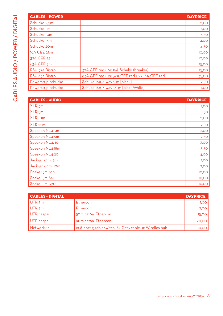| <b>CABLES - POWER</b> |                                               | <b>DAYPRICE</b> |
|-----------------------|-----------------------------------------------|-----------------|
| Schucko 2,5m          |                                               | 2,00            |
| Schucko 5m            |                                               | 3,00            |
| Schucko 10m           |                                               | 3,50            |
| Schucko 15m           |                                               | 4,00            |
| Schucko 20m           |                                               | 4,50            |
| 16A CEE 25m           |                                               | 10,00           |
| 32A CEE 25m           |                                               | 10,00           |
| 63A CEE 5m            |                                               | 15,00           |
| PSU 32a Distro        | 32A CEE red > 6x 16A Schuko (breaker)         | 15,00           |
| PSU 63a Distro        | 63A CEE red > 2x 32A CEE red + 2x 16A CEE red | 35,00           |
| Powerstrip schucko    | Schuko 16A 4-way 5 m [black]                  | 2,50            |
| Powerstrip schucko    | Schuko 16A 3-way 1,5 m [black/white]          | 1,00            |

| <b>CABLES - AUDIO</b> | <b>DAYPRICE</b> |
|-----------------------|-----------------|
| XLR 3m                | 1,00            |
| XLR <sub>5m</sub>     | 1,50            |
| XLR <sub>10m</sub>    | 2,00            |
| <b>XLR 25m</b>        | 2,50            |
| Speakon NL4 3m        | 2,00            |
| Speakon NL4 5m        | 2,50            |
| Speakon NL4, 10m      | 3,00            |
| Speakon NL4 15m       | 3,50            |
| Speakon NL4 20m       | 4,00            |
| Jack-jack 1m, 3m      | 1,00            |
| Jack-jack 6m, 10m     | 2,00            |
| Snake 15m 8ch         | 10,00           |
| Snake 15m 8/4         | 10,00           |
| Snake 15m 12/0        | 10,00           |

| <b>CABLES - DIGITAL</b> |                                                          | <b>DAYPRICE</b> |
|-------------------------|----------------------------------------------------------|-----------------|
| $ $ UTP $\mathsf{3m}$   | Ethercon                                                 | 1,00            |
| $ $ UTP $5m$            | Ethercon                                                 | 2,00            |
| UTP haspel              | 50m cat6a, Ethercon                                      | <b>15,00</b>    |
| UTP haspel              | 90m cat6a, Ethercon                                      | 20,00           |
| Netwerkkit              | 1x 8-port gigabit switch, 6x Cat5 cable, 1x Wirelles hub | 10,00           |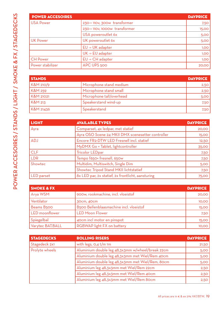| <b>POWER ACCESOIRES</b> |                               | <b>DAYPRICE</b> |
|-------------------------|-------------------------------|-----------------|
| <b>USA Power</b>        | 230-> 110v, 300w transformer  | 7,50            |
|                         | 230-> 110v, 1000w transformer | 15,00           |
|                         | USA poweroutlet 6x            | 5,00            |
| <b>UK Power</b>         | UK poweroutlet 6x             | 5,00            |
|                         | EU -> UK adapter              | 1,00            |
|                         | UK -> EU adapter              | 1,00            |
| <b>CH Power</b>         | EU -> CH adapter              | 1,00            |
| Power stabilizer        | APC UPS 500                   | 20,00           |

| <b>STANDS</b>        |                          | <b>DAYPRICE</b> |
|----------------------|--------------------------|-----------------|
| K&M 210/9            | Microphone stand medium  | 2,50            |
| K&M 259              | Microphone stand small   | 2,50            |
| <b>K&amp;M 21021</b> | Microphone tall/overhead | 5,00            |
| K&M 213              | Speakerstand wind-up     | 7,50            |
| K&M 21436            | Speakerstand             | 7,50            |

| <b>LIGHT</b> | <b>AVAILABLE TYPES</b>                            | <b>DAYPRICE</b> |
|--------------|---------------------------------------------------|-----------------|
| Ayra         | Comparset, 4x ledpar, met statief                 | 20,00           |
|              | Ayra OSO Scene 24 MKII DMX scenesetter controller | 15,00           |
| <b>ADJ</b>   | Encore FR2-DTW LED Fresnell incl. statief         | 12,50           |
|              | MyDMX Go + Tablet, lightcontroller                | 35,00           |
| <b>CLF</b>   | <b>Tricolor LEDpar</b>                            | 7,50            |
| <b>LDR</b>   | Tempo f650+ fresnell, 650w                        | 7,50            |
| Showtec      | Multidim, Multiswitch, Single Dim                 | 5,00            |
|              | Showtec Tripod Stand MKII lichtstatief            | 7,50            |
| LED parset   | 8x LED par, 2x statief, 2x frontlicht, aansturing | 75,00           |

| <b>SMOKE &amp; FX</b> |                                         | <b>DAYPRICE</b> |
|-----------------------|-----------------------------------------|-----------------|
| ' Arya WSM            | 900w, rookmachine, incl. vloeistof      | 20,00           |
| Ventilator            | 30cm, 40cm                              | 10,00           |
| Beams B500            | B500 Bellenblaasmachine incl. vloeistof | 15,00           |
| LED moonflower        | <b>LED Moon Flower</b>                  | 7,50            |
| Spiegelbal            | 40cm incl motor en pinspot              | 15,00           |
| Varytec BAT.BALL      | RGBWAP light FX on battery              | 10,00           |

| <b>STAGEDECKS</b> | <b>ROLLING RISERS</b>                            | <b>DAYPRICE</b> |
|-------------------|--------------------------------------------------|-----------------|
| Stagedeck 2x1     | with legs, $O$ , $4 \frac{t}{m}$ 1m              | 21,50           |
| Prolyte wheels    | Aluminium double leg 48,3x3mm w/wheel/break 22cm | 5,00            |
|                   | Aluminium double leg 48,3x3mm met Wiel/Rem 40cm  | 5,00            |
|                   | Aluminium double leg 48,3x3mm met Wiel/Rem, 80cm | 5,00            |
|                   | Aluminium leg 48,3x3mm met Wiel/Rem 22cm         | 2,50            |
|                   | Aluminium leg 48,3x3mm met Wiel/Rem 40cm         | 2,50            |
|                   | Aluminium leg 48,3x3mm met Wiel/Rem 80cm         | 2,50            |